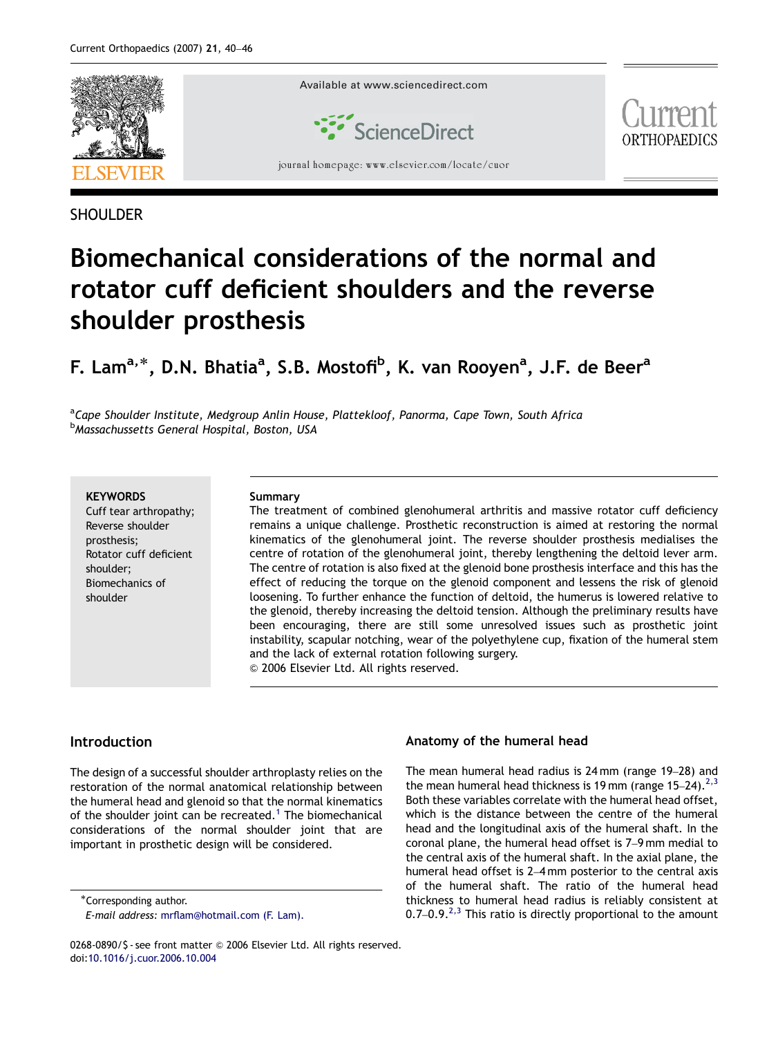

## **SHOULDER**

# Biomechanical considerations of the normal and rotator cuff deficient shoulders and the reverse shoulder prosthesis

## F. Lam<sup>a,\*</sup>, D.N. Bhatia<sup>a</sup>, S.B. Mostofi<sup>b</sup>, K. van Rooyen<sup>a</sup>, J.F. de Beer<sup>a</sup>

<sup>a</sup>Cape Shoulder Institute, Medgroup Anlin House, Plattekloof, Panorma, Cape Town, South Africa <sup>b</sup>Massachussetts General Hospital, Boston, USA

**KEYWORDS** 

Cuff tear arthropathy; Reverse shoulder prosthesis; Rotator cuff deficient shoulder; Biomechanics of shoulder

#### Summary

The treatment of combined glenohumeral arthritis and massive rotator cuff deficiency remains a unique challenge. Prosthetic reconstruction is aimed at restoring the normal kinematics of the glenohumeral joint. The reverse shoulder prosthesis medialises the centre of rotation of the glenohumeral joint, thereby lengthening the deltoid lever arm. The centre of rotation is also fixed at the glenoid bone prosthesis interface and this has the effect of reducing the torque on the glenoid component and lessens the risk of glenoid loosening. To further enhance the function of deltoid, the humerus is lowered relative to the glenoid, thereby increasing the deltoid tension. Although the preliminary results have been encouraging, there are still some unresolved issues such as prosthetic joint instability, scapular notching, wear of the polyethylene cup, fixation of the humeral stem and the lack of external rotation following surgery.

& 2006 Elsevier Ltd. All rights reserved.

## Introduction

The design of a successful shoulder arthroplasty relies on the restoration of the normal anatomical relationship between the humeral head and glenoid so that the normal kinematics of the shoulder joint can be recreated.<sup>[1](#page-6-0)</sup> The biomechanical considerations of the normal shoulder joint that are important in prosthetic design will be considered.

#### Anatomy of the humeral head

The mean humeral head radius is 24 mm (range 19–28) and the mean humeral head thickness is 19 mm (range  $15-24$ ).<sup>[2,3](#page-6-0)</sup> Both these variables correlate with the humeral head offset, which is the distance between the centre of the humeral head and the longitudinal axis of the humeral shaft. In the coronal plane, the humeral head offset is 7–9 mm medial to the central axis of the humeral shaft. In the axial plane, the humeral head offset is 2–4 mm posterior to the central axis of the humeral shaft. The ratio of the humeral head thickness to humeral head radius is reliably consistent at 0.7–0.9. $^{2,3}$  $^{2,3}$  $^{2,3}$  This ratio is directly proportional to the amount

<sup>-</sup>Corresponding author.

E-mail address: [mrflam@hotmail.com \(F. Lam\).](mailto:mrflam@hotmail.com)

<sup>0268-0890/\$ -</sup> see front matter © 2006 Elsevier Ltd. All rights reserved. doi:[10.1016/j.cuor.2006.10.004](dx.doi.org/10.1016/j.cuor.2006.10.004)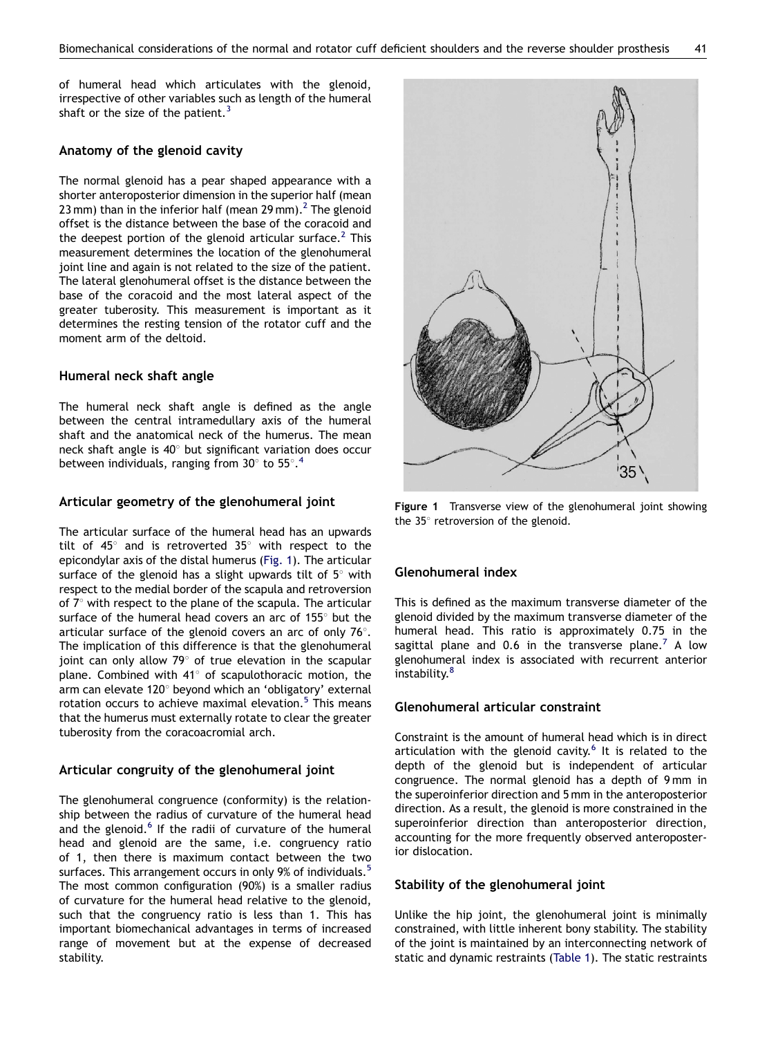of humeral head which articulates with the glenoid, irrespective of other variables such as length of the humeral shaft or the size of the patient.<sup>[3](#page-6-0)</sup>

#### Anatomy of the glenoid cavity

The normal glenoid has a pear shaped appearance with a shorter anteroposterior dimension in the superior half (mean 23 mm) than in the inferior half (mean 29 mm).<sup>2</sup> The glenoid offset is the distance between the base of the coracoid and the deepest portion of the glenoid articular surface.<sup>[2](#page-6-0)</sup> This measurement determines the location of the glenohumeral joint line and again is not related to the size of the patient. The lateral glenohumeral offset is the distance between the base of the coracoid and the most lateral aspect of the greater tuberosity. This measurement is important as it determines the resting tension of the rotator cuff and the moment arm of the deltoid.

#### Humeral neck shaft angle

The humeral neck shaft angle is defined as the angle between the central intramedullary axis of the humeral shaft and the anatomical neck of the humerus. The mean neck shaft angle is  $40^{\circ}$  but significant variation does occur between individuals, ranging from 30 $^{\circ}$  to 55 $^{\circ}$ .<sup>[4](#page-6-0)</sup>

#### Articular geometry of the glenohumeral joint

The articular surface of the humeral head has an upwards tilt of  $45^\circ$  and is retroverted 35 $^\circ$  with respect to the epicondylar axis of the distal humerus (Fig. 1). The articular surface of the glenoid has a slight upwards tilt of  $5^\circ$  with respect to the medial border of the scapula and retroversion of  $7^\circ$  with respect to the plane of the scapula. The articular surface of the humeral head covers an arc of  $155^\circ$  but the articular surface of the glenoid covers an arc of only  $76^\circ$ . The implication of this difference is that the glenohumeral joint can only allow  $79^{\circ}$  of true elevation in the scapular plane. Combined with  $41^\circ$  of scapulothoracic motion, the arm can elevate 120° beyond which an 'obligatory' external rotation occurs to achieve maximal elevation.<sup>[5](#page-6-0)</sup> This means that the humerus must externally rotate to clear the greater tuberosity from the coracoacromial arch.

#### Articular congruity of the glenohumeral joint

The glenohumeral congruence (conformity) is the relationship between the radius of curvature of the humeral head and the glenoid.<sup>[6](#page-6-0)</sup> If the radii of curvature of the humeral head and glenoid are the same, i.e. congruency ratio of 1, then there is maximum contact between the two surfaces. This arrangement occurs in only 9% of individuals.<sup>[5](#page-6-0)</sup> The most common configuration (90%) is a smaller radius of curvature for the humeral head relative to the glenoid, such that the congruency ratio is less than 1. This has important biomechanical advantages in terms of increased range of movement but at the expense of decreased stability.



Figure 1 Transverse view of the glenohumeral joint showing the  $35^\circ$  retroversion of the glenoid.

#### Glenohumeral index

This is defined as the maximum transverse diameter of the glenoid divided by the maximum transverse diameter of the humeral head. This ratio is approximately 0.75 in the sagittal plane and 0.6 in the transverse plane.<sup>7</sup> A low glenohumeral index is associated with recurrent anterior instability.<sup>8</sup>

#### Glenohumeral articular constraint

Constraint is the amount of humeral head which is in direct articulation with the glenoid cavity.<sup>[6](#page-6-0)</sup> It is related to the depth of the glenoid but is independent of articular congruence. The normal glenoid has a depth of 9 mm in the superoinferior direction and 5 mm in the anteroposterior direction. As a result, the glenoid is more constrained in the superoinferior direction than anteroposterior direction, accounting for the more frequently observed anteroposterior dislocation.

#### Stability of the glenohumeral joint

Unlike the hip joint, the glenohumeral joint is minimally constrained, with little inherent bony stability. The stability of the joint is maintained by an interconnecting network of static and dynamic restraints ([Table 1](#page-2-0)). The static restraints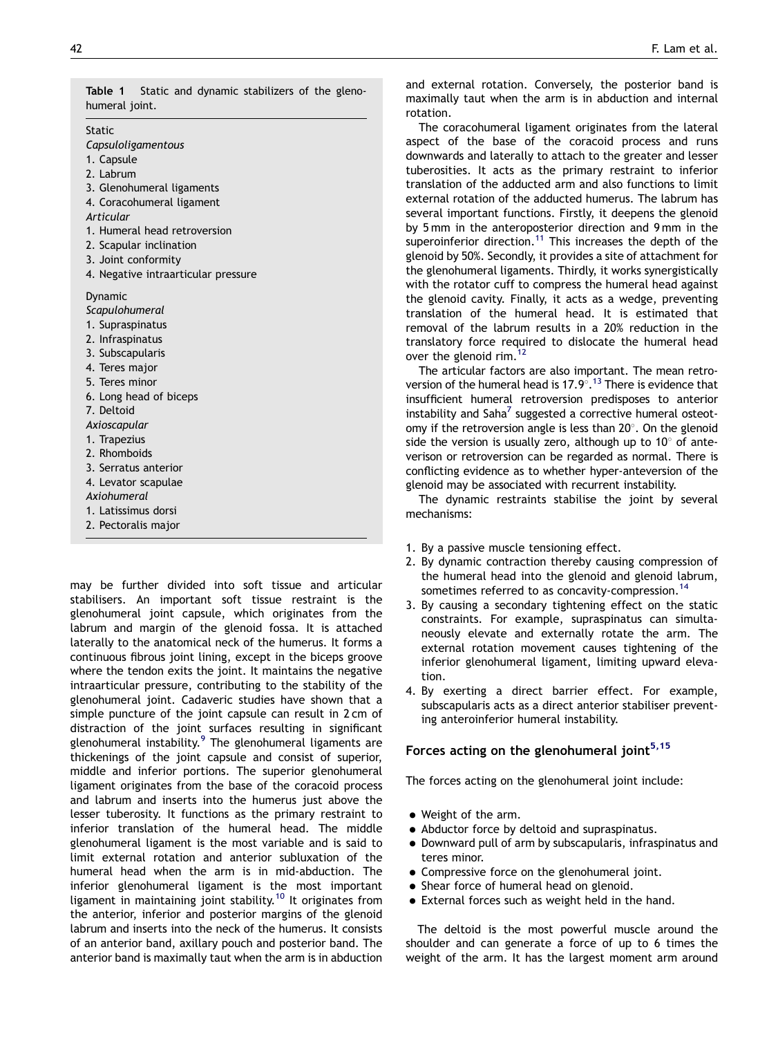<span id="page-2-0"></span>Table 1 Static and dynamic stabilizers of the glenohumeral joint.

Static

Capsuloligamentous

- 1. Capsule
- 2. Labrum
- 3. Glenohumeral ligaments
- 4. Coracohumeral ligament
- Articular
- 1. Humeral head retroversion
- 2. Scapular inclination
- 3. Joint conformity
- 4. Negative intraarticular pressure

Dynamic

- **Scapulohumeral**
- 1. Supraspinatus
- 2. Infraspinatus
- 3. Subscapularis
- 4. Teres major
- 5. Teres minor
- 6. Long head of biceps
- 7. Deltoid
- Axioscapular
- 1. Trapezius
- 2. Rhomboids
- 3. Serratus anterior
- 4. Levator scapulae
- Axiohumeral
- 1. Latissimus dorsi
- 2. Pectoralis major

may be further divided into soft tissue and articular stabilisers. An important soft tissue restraint is the glenohumeral joint capsule, which originates from the labrum and margin of the glenoid fossa. It is attached laterally to the anatomical neck of the humerus. It forms a continuous fibrous joint lining, except in the biceps groove where the tendon exits the joint. It maintains the negative intraarticular pressure, contributing to the stability of the glenohumeral joint. Cadaveric studies have shown that a simple puncture of the joint capsule can result in 2 cm of distraction of the joint surfaces resulting in significant glenohumeral instability.<sup>[9](#page-6-0)</sup> The glenohumeral ligaments are thickenings of the joint capsule and consist of superior, middle and inferior portions. The superior glenohumeral ligament originates from the base of the coracoid process and labrum and inserts into the humerus just above the lesser tuberosity. It functions as the primary restraint to inferior translation of the humeral head. The middle glenohumeral ligament is the most variable and is said to limit external rotation and anterior subluxation of the humeral head when the arm is in mid-abduction. The inferior glenohumeral ligament is the most important ligament in maintaining joint stability.<sup>[10](#page-6-0)</sup> It originates from the anterior, inferior and posterior margins of the glenoid labrum and inserts into the neck of the humerus. It consists of an anterior band, axillary pouch and posterior band. The anterior band is maximally taut when the arm is in abduction and external rotation. Conversely, the posterior band is maximally taut when the arm is in abduction and internal rotation.

The coracohumeral ligament originates from the lateral aspect of the base of the coracoid process and runs downwards and laterally to attach to the greater and lesser tuberosities. It acts as the primary restraint to inferior translation of the adducted arm and also functions to limit external rotation of the adducted humerus. The labrum has several important functions. Firstly, it deepens the glenoid by 5 mm in the anteroposterior direction and 9 mm in the superoinferior direction.<sup>[11](#page-6-0)</sup> This increases the depth of the glenoid by 50%. Secondly, it provides a site of attachment for the glenohumeral ligaments. Thirdly, it works synergistically with the rotator cuff to compress the humeral head against the glenoid cavity. Finally, it acts as a wedge, preventing translation of the humeral head. It is estimated that removal of the labrum results in a 20% reduction in the translatory force required to dislocate the humeral head over the glenoid rim.<sup>[12](#page-6-0)</sup>

The articular factors are also important. The mean retroversion of the humeral head is  $17.9^{\circ}.^{13}$  $17.9^{\circ}.^{13}$  $17.9^{\circ}.^{13}$  There is evidence that insufficient humeral retroversion predisposes to anterior instability and  $Saha<sup>7</sup>$  suggested a corrective humeral osteotomy if the retroversion angle is less than  $20^\circ$ . On the glenoid side the version is usually zero, although up to  $10^{\circ}$  of anteverison or retroversion can be regarded as normal. There is conflicting evidence as to whether hyper-anteversion of the glenoid may be associated with recurrent instability.

The dynamic restraints stabilise the joint by several mechanisms:

- 1. By a passive muscle tensioning effect.
- 2. By dynamic contraction thereby causing compression of the humeral head into the glenoid and glenoid labrum, sometimes referred to as concavity-compression.<sup>[14](#page-6-0)</sup>
- 3. By causing a secondary tightening effect on the static constraints. For example, supraspinatus can simultaneously elevate and externally rotate the arm. The external rotation movement causes tightening of the inferior glenohumeral ligament, limiting upward elevation.
- 4. By exerting a direct barrier effect. For example, subscapularis acts as a direct anterior stabiliser preventing anteroinferior humeral instability.

## Forces acting on the glenohumeral joint $5,15$

The forces acting on the glenohumeral joint include:

- Weight of the arm.
- Abductor force by deltoid and supraspinatus.
- $\bullet$  Downward pull of arm by subscapularis, infraspinatus and teres minor.
- Compressive force on the glenohumeral joint.
- Shear force of humeral head on glenoid.
- $\bullet$  External forces such as weight held in the hand.

The deltoid is the most powerful muscle around the shoulder and can generate a force of up to 6 times the weight of the arm. It has the largest moment arm around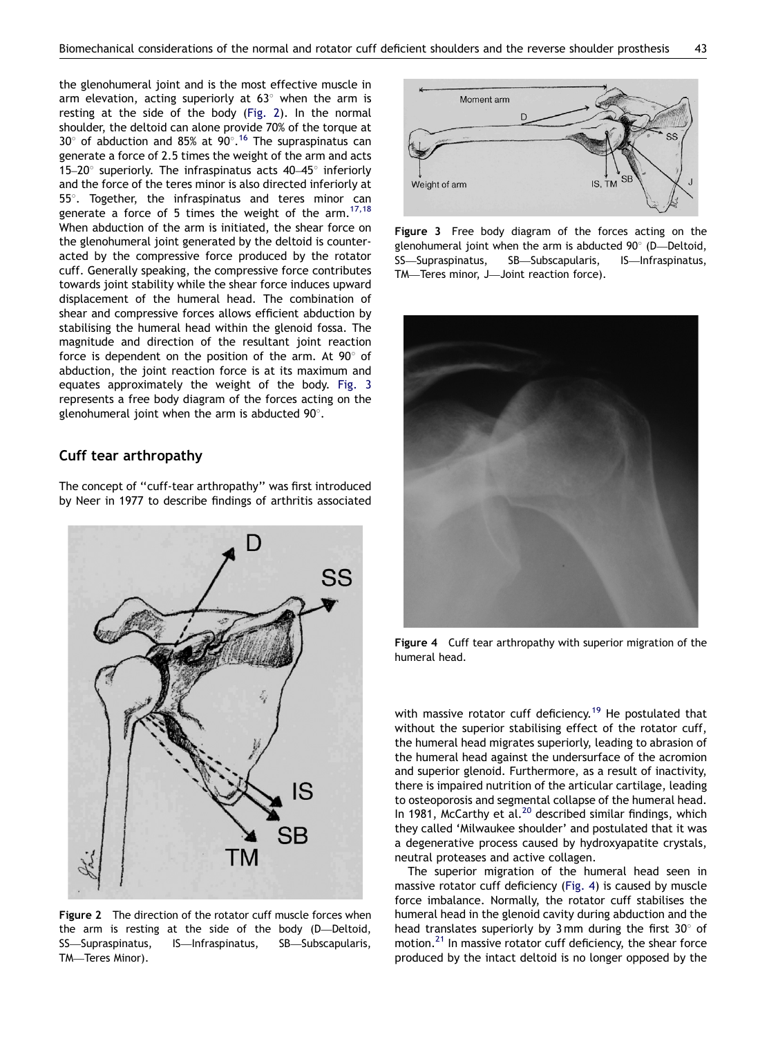<span id="page-3-0"></span>the glenohumeral joint and is the most effective muscle in arm elevation, acting superiorly at  $63^{\circ}$  when the arm is resting at the side of the body (Fig. 2). In the normal shoulder, the deltoid can alone provide 70% of the torque at 30 $^{\circ}$  of abduction and 85% at 90 $^{\circ}$ .<sup>[16](#page-6-0)</sup> The supraspinatus can generate a force of 2.5 times the weight of the arm and acts 15–20 $^{\circ}$  superiorly. The infraspinatus acts 40–45 $^{\circ}$  inferiorly and the force of the teres minor is also directed inferiorly at  $55^\circ$ . Together, the infraspinatus and teres minor can generate a force of 5 times the weight of the arm.  $17,18$ When abduction of the arm is initiated, the shear force on the glenohumeral joint generated by the deltoid is counteracted by the compressive force produced by the rotator cuff. Generally speaking, the compressive force contributes towards joint stability while the shear force induces upward displacement of the humeral head. The combination of shear and compressive forces allows efficient abduction by stabilising the humeral head within the glenoid fossa. The magnitude and direction of the resultant joint reaction force is dependent on the position of the arm. At  $90^{\circ}$  of abduction, the joint reaction force is at its maximum and equates approximately the weight of the body. Fig. 3 represents a free body diagram of the forces acting on the glenohumeral joint when the arm is abducted  $90^\circ$ .

## Cuff tear arthropathy

The concept of ''cuff-tear arthropathy'' was first introduced by Neer in 1977 to describe findings of arthritis associated



Figure 2 The direction of the rotator cuff muscle forces when the arm is resting at the side of the body (D—Deltoid, SS—Supraspinatus, IS—Infraspinatus, SB—Subscapularis, TM—Teres Minor).



Figure 3 Free body diagram of the forces acting on the glenohumeral joint when the arm is abducted  $90^\circ$  (D—Deltoid, SS—Supraspinatus, SB—Subscapularis, IS—Infraspinatus, TM—Teres minor, J—Joint reaction force).



Figure 4 Cuff tear arthropathy with superior migration of the humeral head.

with massive rotator cuff deficiency.<sup>[19](#page-6-0)</sup> He postulated that without the superior stabilising effect of the rotator cuff, the humeral head migrates superiorly, leading to abrasion of the humeral head against the undersurface of the acromion and superior glenoid. Furthermore, as a result of inactivity, there is impaired nutrition of the articular cartilage, leading to osteoporosis and segmental collapse of the humeral head. In 1981, McCarthy et al.<sup>[20](#page-6-0)</sup> described similar findings, which they called 'Milwaukee shoulder' and postulated that it was a degenerative process caused by hydroxyapatite crystals, neutral proteases and active collagen.

The superior migration of the humeral head seen in massive rotator cuff deficiency (Fig. 4) is caused by muscle force imbalance. Normally, the rotator cuff stabilises the humeral head in the glenoid cavity during abduction and the head translates superiorly by 3 mm during the first  $30^{\circ}$  of motion.<sup>21</sup> In massive rotator cuff deficiency, the shear force produced by the intact deltoid is no longer opposed by the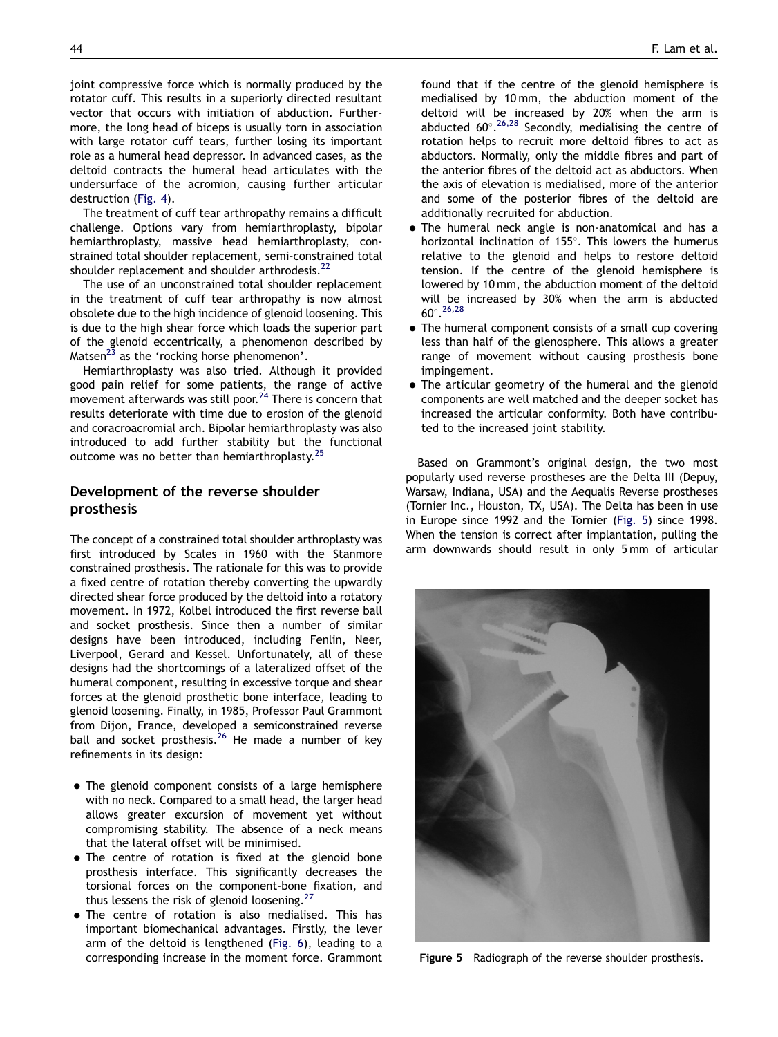joint compressive force which is normally produced by the rotator cuff. This results in a superiorly directed resultant vector that occurs with initiation of abduction. Furthermore, the long head of biceps is usually torn in association with large rotator cuff tears, further losing its important role as a humeral head depressor. In advanced cases, as the deltoid contracts the humeral head articulates with the undersurface of the acromion, causing further articular destruction [\(Fig. 4\)](#page-3-0).

The treatment of cuff tear arthropathy remains a difficult challenge. Options vary from hemiarthroplasty, bipolar hemiarthroplasty, massive head hemiarthroplasty, constrained total shoulder replacement, semi-constrained total shoulder replacement and shoulder arthrodesis.<sup>[22](#page-6-0)</sup>

The use of an unconstrained total shoulder replacement in the treatment of cuff tear arthropathy is now almost obsolete due to the high incidence of glenoid loosening. This is due to the high shear force which loads the superior part of the glenoid eccentrically, a phenomenon described by Matsen<sup>[23](#page-6-0)</sup> as the 'rocking horse phenomenon'.

Hemiarthroplasty was also tried. Although it provided good pain relief for some patients, the range of active movement afterwards was still poor. $^{24}$  $^{24}$  $^{24}$  There is concern that results deteriorate with time due to erosion of the glenoid and coracroacromial arch. Bipolar hemiarthroplasty was also introduced to add further stability but the functional outcome was no better than hemiarthroplasty.<sup>2</sup>

## Development of the reverse shoulder prosthesis

The concept of a constrained total shoulder arthroplasty was first introduced by Scales in 1960 with the Stanmore constrained prosthesis. The rationale for this was to provide a fixed centre of rotation thereby converting the upwardly directed shear force produced by the deltoid into a rotatory movement. In 1972, Kolbel introduced the first reverse ball and socket prosthesis. Since then a number of similar designs have been introduced, including Fenlin, Neer, Liverpool, Gerard and Kessel. Unfortunately, all of these designs had the shortcomings of a lateralized offset of the humeral component, resulting in excessive torque and shear forces at the glenoid prosthetic bone interface, leading to glenoid loosening. Finally, in 1985, Professor Paul Grammont from Dijon, France, developed a semiconstrained reverse ball and socket prosthesis.<sup>[26](#page-6-0)</sup> He made a number of key refinements in its design:

- The glenoid component consists of a large hemisphere with no neck. Compared to a small head, the larger head allows greater excursion of movement yet without compromising stability. The absence of a neck means that the lateral offset will be minimised.
- . The centre of rotation is fixed at the glenoid bone prosthesis interface. This significantly decreases the torsional forces on the component-bone fixation, and thus lessens the risk of glenoid loosening. $27$
- . The centre of rotation is also medialised. This has important biomechanical advantages. Firstly, the lever arm of the deltoid is lengthened ([Fig. 6](#page-5-0)), leading to a corresponding increase in the moment force. Grammont

found that if the centre of the glenoid hemisphere is medialised by 10 mm, the abduction moment of the deltoid will be increased by 20% when the arm is abducted  $60^{\circ}.^{26,28}$  $60^{\circ}.^{26,28}$  $60^{\circ}.^{26,28}$  Secondly, medialising the centre of rotation helps to recruit more deltoid fibres to act as abductors. Normally, only the middle fibres and part of the anterior fibres of the deltoid act as abductors. When the axis of elevation is medialised, more of the anterior and some of the posterior fibres of the deltoid are additionally recruited for abduction.

- $\bullet$  The humeral neck angle is non-anatomical and has a horizontal inclination of  $155^\circ$ . This lowers the humerus relative to the glenoid and helps to restore deltoid tension. If the centre of the glenoid hemisphere is lowered by 10 mm, the abduction moment of the deltoid will be increased by 30% when the arm is abducted  $60^{\circ}.^{26,28}$  $60^{\circ}.^{26,28}$  $60^{\circ}.^{26,28}$
- The humeral component consists of a small cup covering less than half of the glenosphere. This allows a greater range of movement without causing prosthesis bone impingement.
- The articular geometry of the humeral and the glenoid components are well matched and the deeper socket has increased the articular conformity. Both have contributed to the increased joint stability.

Based on Grammont's original design, the two most popularly used reverse prostheses are the Delta III (Depuy, Warsaw, Indiana, USA) and the Aequalis Reverse prostheses (Tornier Inc., Houston, TX, USA). The Delta has been in use in Europe since 1992 and the Tornier (Fig. 5) since 1998. When the tension is correct after implantation, pulling the arm downwards should result in only 5 mm of articular



Figure 5 Radiograph of the reverse shoulder prosthesis.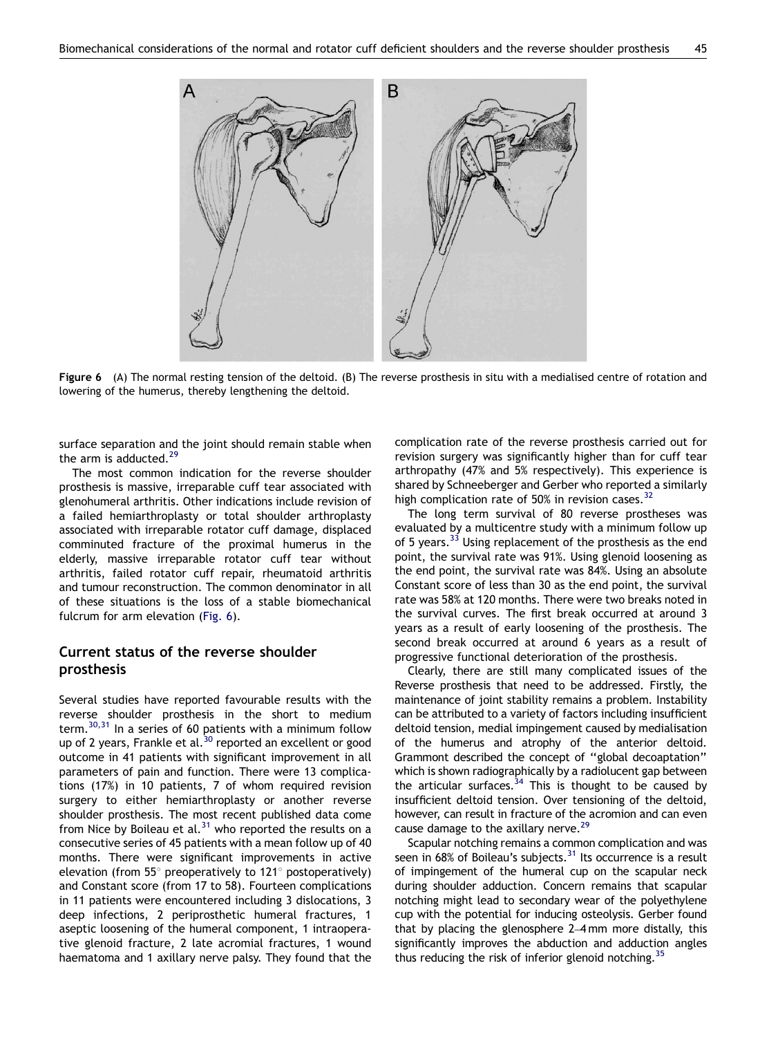<span id="page-5-0"></span>

Figure 6 (A) The normal resting tension of the deltoid. (B) The reverse prosthesis in situ with a medialised centre of rotation and lowering of the humerus, thereby lengthening the deltoid.

surface separation and the joint should remain stable when the arm is adducted. $29$ 

The most common indication for the reverse shoulder prosthesis is massive, irreparable cuff tear associated with glenohumeral arthritis. Other indications include revision of a failed hemiarthroplasty or total shoulder arthroplasty associated with irreparable rotator cuff damage, displaced comminuted fracture of the proximal humerus in the elderly, massive irreparable rotator cuff tear without arthritis, failed rotator cuff repair, rheumatoid arthritis and tumour reconstruction. The common denominator in all of these situations is the loss of a stable biomechanical fulcrum for arm elevation (Fig. 6).

## Current status of the reverse shoulder prosthesis

Several studies have reported favourable results with the reverse shoulder prosthesis in the short to medium term.[30,31](#page-6-0) In a series of 60 patients with a minimum follow up of 2 years, Frankle et al.<sup>[30](#page-6-0)</sup> reported an excellent or good outcome in 41 patients with significant improvement in all parameters of pain and function. There were 13 complications (17%) in 10 patients, 7 of whom required revision surgery to either hemiarthroplasty or another reverse shoulder prosthesis. The most recent published data come from Nice by Boileau et al. $31$  who reported the results on a consecutive series of 45 patients with a mean follow up of 40 months. There were significant improvements in active elevation (from 55 $\degree$  preoperatively to 121 $\degree$  postoperatively) and Constant score (from 17 to 58). Fourteen complications in 11 patients were encountered including 3 dislocations, 3 deep infections, 2 periprosthetic humeral fractures, 1 aseptic loosening of the humeral component, 1 intraoperative glenoid fracture, 2 late acromial fractures, 1 wound haematoma and 1 axillary nerve palsy. They found that the complication rate of the reverse prosthesis carried out for revision surgery was significantly higher than for cuff tear arthropathy (47% and 5% respectively). This experience is shared by Schneeberger and Gerber who reported a similarly high complication rate of 50% in revision cases. $32$ 

The long term survival of 80 reverse prostheses was evaluated by a multicentre study with a minimum follow up of 5 years. $33$  Using replacement of the prosthesis as the end point, the survival rate was 91%. Using glenoid loosening as the end point, the survival rate was 84%. Using an absolute Constant score of less than 30 as the end point, the survival rate was 58% at 120 months. There were two breaks noted in the survival curves. The first break occurred at around 3 years as a result of early loosening of the prosthesis. The second break occurred at around 6 years as a result of progressive functional deterioration of the prosthesis.

Clearly, there are still many complicated issues of the Reverse prosthesis that need to be addressed. Firstly, the maintenance of joint stability remains a problem. Instability can be attributed to a variety of factors including insufficient deltoid tension, medial impingement caused by medialisation of the humerus and atrophy of the anterior deltoid. Grammont described the concept of ''global decoaptation'' which is shown radiographically by a radiolucent gap between the articular surfaces. $34$  This is thought to be caused by insufficient deltoid tension. Over tensioning of the deltoid, however, can result in fracture of the acromion and can even cause damage to the axillary nerve.<sup>[29](#page-6-0)</sup>

Scapular notching remains a common complication and was seen in 68% of Boileau's subjects.<sup>31</sup> Its occurrence is a result of impingement of the humeral cup on the scapular neck during shoulder adduction. Concern remains that scapular notching might lead to secondary wear of the polyethylene cup with the potential for inducing osteolysis. Gerber found that by placing the glenosphere 2–4 mm more distally, this significantly improves the abduction and adduction angles thus reducing the risk of inferior glenoid notching.<sup>35</sup>